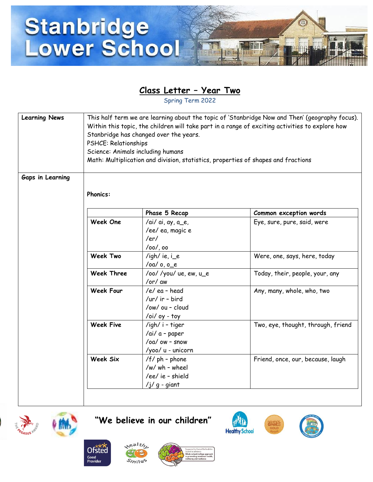

## **Class Letter – Year Two**

Spring Term 2022

| <b>Learning News</b> | This half term we are learning about the topic of 'Stanbridge Now and Then' (geography focus).<br>Within this topic, the children will take part in a range of exciting activities to explore how<br>Stanbridge has changed over the years.<br>PSHCE: Relationships<br>Science: Animals including humans<br>Math: Multiplication and division, statistics, properties of shapes and fractions |                                                                          |                                    |
|----------------------|-----------------------------------------------------------------------------------------------------------------------------------------------------------------------------------------------------------------------------------------------------------------------------------------------------------------------------------------------------------------------------------------------|--------------------------------------------------------------------------|------------------------------------|
| Gaps in Learning     | <b>Phonics:</b>                                                                                                                                                                                                                                                                                                                                                                               |                                                                          |                                    |
|                      |                                                                                                                                                                                                                                                                                                                                                                                               | Phase 5 Recap                                                            | Common exception words             |
|                      | Week One                                                                                                                                                                                                                                                                                                                                                                                      | /ai/ ai, ay, a_e,<br>/ee/ ea, magic e<br>/ $er/$<br>$/oo/$ , oo          | Eye, sure, pure, said, were        |
|                      | <b>Week Two</b>                                                                                                                                                                                                                                                                                                                                                                               | /igh/ie, $i$ <sup>e</sup><br>/oa/ o, o_e                                 | Were, one, says, here, today       |
|                      | <b>Week Three</b>                                                                                                                                                                                                                                                                                                                                                                             | /oo//you/ue, ew, u_e<br>/or/ aw                                          | Today, their, people, your, any    |
|                      | <b>Week Four</b>                                                                                                                                                                                                                                                                                                                                                                              | /e/ea-head<br>/ur/ ir - bird<br>/ow/ ou - cloud<br>/oi/ oy - toy         | Any, many, whole, who, two         |
|                      | <b>Week Five</b>                                                                                                                                                                                                                                                                                                                                                                              | /igh/ i - tiger<br>/ai/ a - paper<br>/oa/ ow - snow<br>/yoo/ u - unicorn | Two, eye, thought, through, friend |
|                      | <b>Week Six</b>                                                                                                                                                                                                                                                                                                                                                                               | $/f$ ph - phone<br>/w/ wh - wheel<br>/ee/ ie - shield<br>$/j/g - giant$  | Friend, once, our, because, laugh  |





 $x$ ealth

**Ofsted** Good<br>Provider



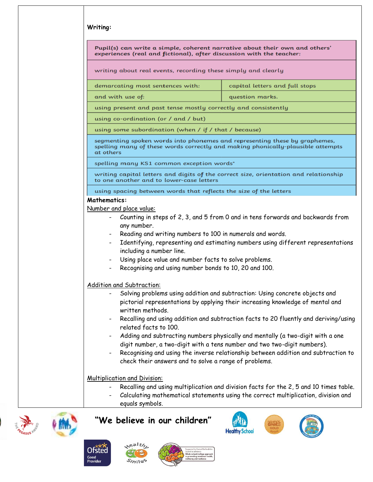|                                                              | experiences (real and fictional), after discussion with the teacher:                                                                                                                                                   | Pupil(s) can write a simple, coherent narrative about their own and others'                                                                                                                                                                                                                                                                                                                                         |
|--------------------------------------------------------------|------------------------------------------------------------------------------------------------------------------------------------------------------------------------------------------------------------------------|---------------------------------------------------------------------------------------------------------------------------------------------------------------------------------------------------------------------------------------------------------------------------------------------------------------------------------------------------------------------------------------------------------------------|
|                                                              | writing about real events, recording these simply and clearly                                                                                                                                                          |                                                                                                                                                                                                                                                                                                                                                                                                                     |
|                                                              | demarcating most sentences with:                                                                                                                                                                                       | capital letters and full stops                                                                                                                                                                                                                                                                                                                                                                                      |
|                                                              | and with use of:                                                                                                                                                                                                       | question marks.                                                                                                                                                                                                                                                                                                                                                                                                     |
|                                                              | using present and past tense mostly correctly and consistently                                                                                                                                                         |                                                                                                                                                                                                                                                                                                                                                                                                                     |
|                                                              | using co-ordination (or / and / but)                                                                                                                                                                                   |                                                                                                                                                                                                                                                                                                                                                                                                                     |
|                                                              | using some subordination (when / if / that / because)                                                                                                                                                                  |                                                                                                                                                                                                                                                                                                                                                                                                                     |
| at others                                                    |                                                                                                                                                                                                                        | segmenting spoken words into phonemes and representing these by graphemes,<br>spelling many of these words correctly and making phonically-plausible attempts                                                                                                                                                                                                                                                       |
|                                                              | spelling many KS1 common exception words*                                                                                                                                                                              |                                                                                                                                                                                                                                                                                                                                                                                                                     |
|                                                              | to one another and to lower-case letters                                                                                                                                                                               | writing capital letters and digits of the correct size, orientation and relationship                                                                                                                                                                                                                                                                                                                                |
|                                                              | using spacing between words that reflects the size of the letters                                                                                                                                                      |                                                                                                                                                                                                                                                                                                                                                                                                                     |
| $\sim$<br>$\qquad \qquad \blacksquare$                       | any number.<br>Reading and writing numbers to 100 in numerals and words.<br>including a number line.<br>Using place value and number facts to solve problems.<br>Recognising and using number bonds to 10, 20 and 100. | Identifying, representing and estimating numbers using different representations                                                                                                                                                                                                                                                                                                                                    |
| $\qquad \qquad \blacksquare$<br>$\qquad \qquad \blacksquare$ | Addition and Subtraction:<br>written methods.<br>related facts to 100.                                                                                                                                                 | Solving problems using addition and subtraction: Using concrete objects and<br>pictorial representations by applying their increasing knowledge of mental and<br>Recalling and using addition and subtraction facts to 20 fluently and deriving/using<br>Adding and subtracting numbers physically and mentally (a two-digit with a one<br>digit number, a two-digit with a tens number and two two-digit numbers). |
|                                                              | check their answers and to solve a range of problems.                                                                                                                                                                  | Recognising and using the inverse relationship between addition and subtraction to                                                                                                                                                                                                                                                                                                                                  |